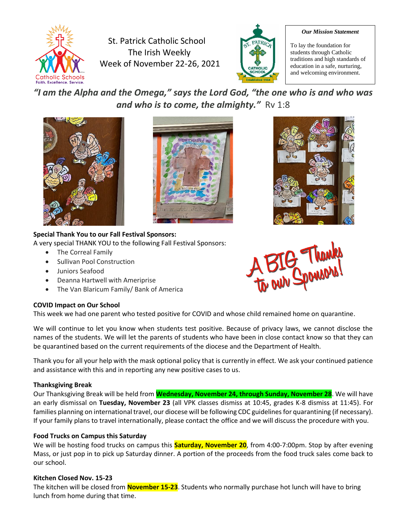

St. Patrick Catholic School The Irish Weekly Week of November 22-26, 2021



#### *Our Mission Statement*

To lay the foundation for students through Catholic traditions and high standards of education in a safe, nurturing, and welcoming environment.

*"I am the Alpha and the Omega," says the Lord God, "the one who is and who was and who is to come, the almighty."* Rv 1:8





## **Special Thank You to our Fall Festival Sponsors:**

A very special THANK YOU to the following Fall Festival Sponsors:

- The Correal Family
- Sullivan Pool Construction
- Juniors Seafood
- Deanna Hartwell with Ameriprise
- The Van Blaricum Family/ Bank of America

# **COVID Impact on Our School**

This week we had one parent who tested positive for COVID and whose child remained home on quarantine.

We will continue to let you know when students test positive. Because of privacy laws, we cannot disclose the names of the students. We will let the parents of students who have been in close contact know so that they can be quarantined based on the current requirements of the diocese and the Department of Health.

Thank you for all your help with the mask optional policy that is currently in effect. We ask your continued patience and assistance with this and in reporting any new positive cases to us.

## **Thanksgiving Break**

Our Thanksgiving Break will be held from **Wednesday, November 24, through Sunday, November 28**. We will have an early dismissal on **Tuesday, November 23** (all VPK classes dismiss at 10:45, grades K-8 dismiss at 11:45). For families planning on international travel, our diocese will be following CDC guidelines for quarantining (if necessary). If your family plans to travel internationally, please contact the office and we will discuss the procedure with you.

## **Food Trucks on Campus this Saturday**

We will be hosting food trucks on campus this **Saturday, November 20**, from 4:00-7:00pm. Stop by after evening Mass, or just pop in to pick up Saturday dinner. A portion of the proceeds from the food truck sales come back to our school.

## **Kitchen Closed Nov. 15-23**

The kitchen will be closed from **November 15-23**. Students who normally purchase hot lunch will have to bring lunch from home during that time.